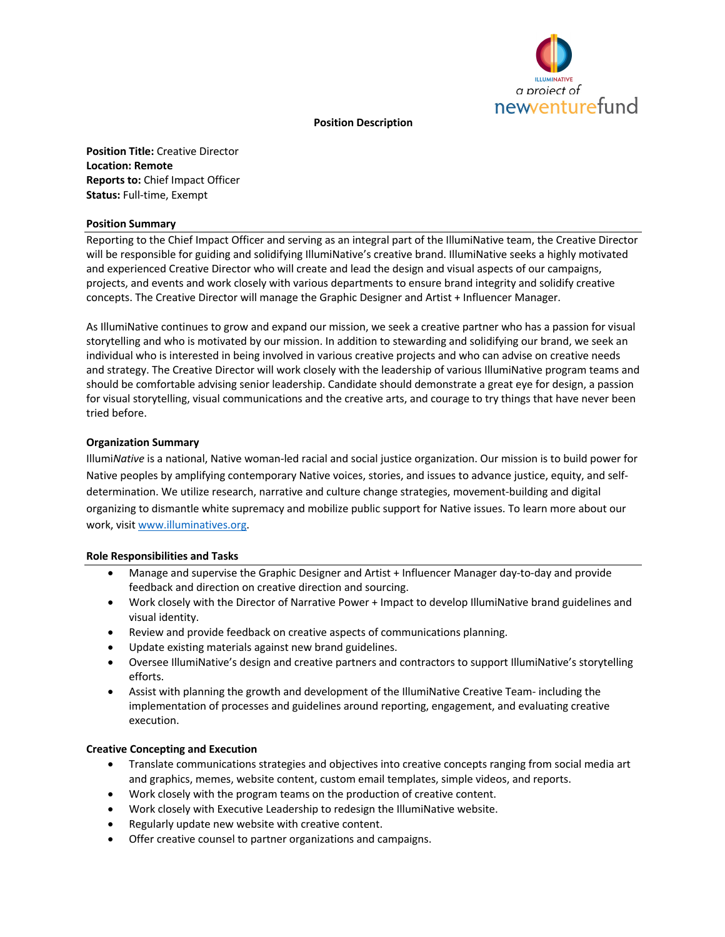

#### **Position Description**

**Position Title:** Creative Director **Location: Remote Reports to:** Chief Impact Officer **Status:** Full-time, Exempt

#### **Position Summary**

Reporting to the Chief Impact Officer and serving as an integral part of the IllumiNative team, the Creative Director will be responsible for guiding and solidifying IllumiNative's creative brand. IllumiNative seeks a highly motivated and experienced Creative Director who will create and lead the design and visual aspects of our campaigns, projects, and events and work closely with various departments to ensure brand integrity and solidify creative concepts. The Creative Director will manage the Graphic Designer and Artist + Influencer Manager.

As IllumiNative continues to grow and expand our mission, we seek a creative partner who has a passion for visual storytelling and who is motivated by our mission. In addition to stewarding and solidifying our brand, we seek an individual who is interested in being involved in various creative projects and who can advise on creative needs and strategy. The Creative Director will work closely with the leadership of various IllumiNative program teams and should be comfortable advising senior leadership. Candidate should demonstrate a great eye for design, a passion for visual storytelling, visual communications and the creative arts, and courage to try things that have never been tried before.

# **Organization Summary**

Illumi*Native* is a national, Native woman-led racial and social justice organization. Our mission is to build power for Native peoples by amplifying contemporary Native voices, stories, and issues to advance justice, equity, and selfdetermination. We utilize research, narrative and culture change strategies, movement-building and digital organizing to dismantle white supremacy and mobilize public support for Native issues. To learn more about our work, visit www.illuminatives.org.

# **Role Responsibilities and Tasks**

- Manage and supervise the Graphic Designer and Artist + Influencer Manager day-to-day and provide feedback and direction on creative direction and sourcing.
- Work closely with the Director of Narrative Power + Impact to develop IllumiNative brand guidelines and visual identity.
- Review and provide feedback on creative aspects of communications planning.
- Update existing materials against new brand guidelines.
- Oversee IllumiNative's design and creative partners and contractors to support IllumiNative's storytelling efforts.
- Assist with planning the growth and development of the IllumiNative Creative Team- including the implementation of processes and guidelines around reporting, engagement, and evaluating creative execution.

# **Creative Concepting and Execution**

- Translate communications strategies and objectives into creative concepts ranging from social media art and graphics, memes, website content, custom email templates, simple videos, and reports.
- Work closely with the program teams on the production of creative content.
- Work closely with Executive Leadership to redesign the IllumiNative website.
- Regularly update new website with creative content.
- Offer creative counsel to partner organizations and campaigns.